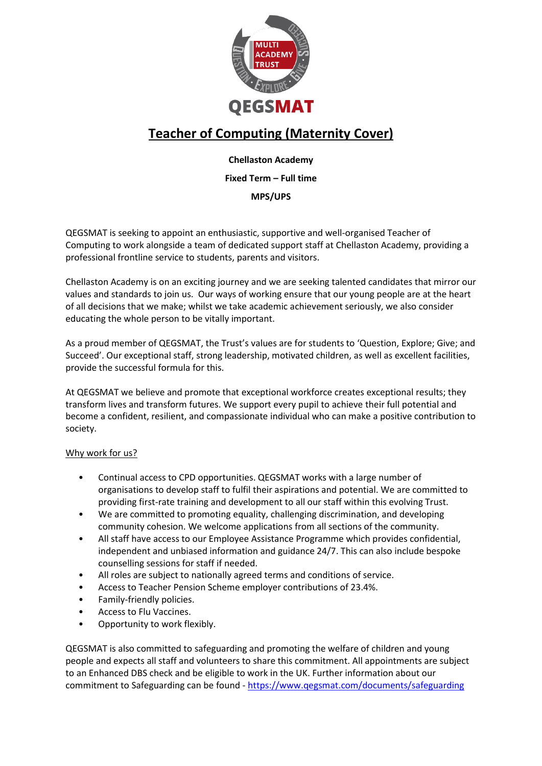

# **Teacher of Computing (Maternity Cover)**

# **Chellaston Academy**

# **Fixed Term – Full time**

# **MPS/UPS**

QEGSMAT is seeking to appoint an enthusiastic, supportive and well-organised Teacher of Computing to work alongside a team of dedicated support staff at Chellaston Academy, providing a professional frontline service to students, parents and visitors.

Chellaston Academy is on an exciting journey and we are seeking talented candidates that mirror our values and standards to join us. Our ways of working ensure that our young people are at the heart of all decisions that we make; whilst we take academic achievement seriously, we also consider educating the whole person to be vitally important.

As a proud member of QEGSMAT, the Trust's values are for students to 'Question, Explore; Give; and Succeed'. Our exceptional staff, strong leadership, motivated children, as well as excellent facilities, provide the successful formula for this.

At QEGSMAT we believe and promote that exceptional workforce creates exceptional results; they transform lives and transform futures. We support every pupil to achieve their full potential and become a confident, resilient, and compassionate individual who can make a positive contribution to society.

# Why work for us?

- Continual access to CPD opportunities. QEGSMAT works with a large number of organisations to develop staff to fulfil their aspirations and potential. We are committed to providing first-rate training and development to all our staff within this evolving Trust.
- We are committed to promoting equality, challenging discrimination, and developing community cohesion. We welcome applications from all sections of the community.
- All staff have access to our Employee Assistance Programme which provides confidential, independent and unbiased information and guidance 24/7. This can also include bespoke counselling sessions for staff if needed.
- All roles are subject to nationally agreed terms and conditions of service.
- Access to Teacher Pension Scheme employer contributions of 23.4%.
- Family-friendly policies.
- Access to Flu Vaccines.
- Opportunity to work flexibly.

QEGSMAT is also committed to safeguarding and promoting the welfare of children and young people and expects all staff and volunteers to share this commitment. All appointments are subject to an Enhanced DBS check and be eligible to work in the UK. Further information about our commitment to Safeguarding can be found - <https://www.qegsmat.com/documents/safeguarding>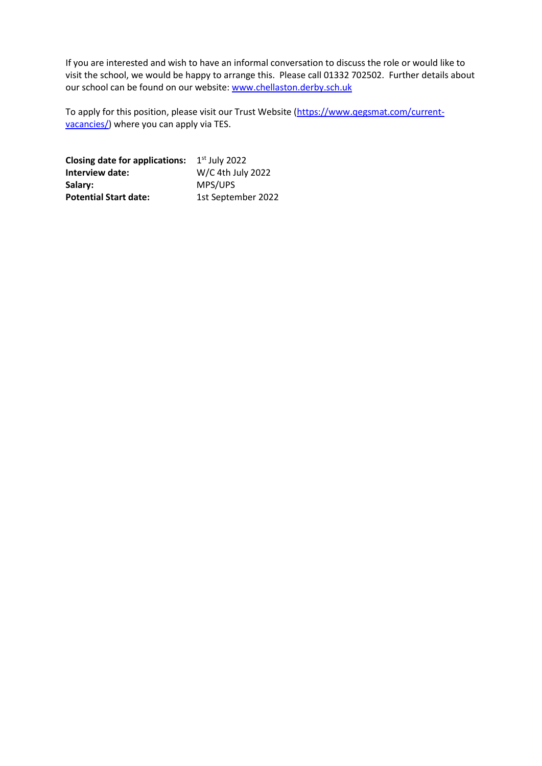If you are interested and wish to have an informal conversation to discuss the role or would like to visit the school, we would be happy to arrange this. Please call 01332 702502. Further details about our school can be found on our website[: www.chellaston.derby.sch.uk](http://www.chellaston.derby.sch.uk/)

To apply for this position, please visit our Trust Website [\(https://www.qegsmat.com/current](https://www.qegsmat.com/current-vacancies/)[vacancies/\)](https://www.qegsmat.com/current-vacancies/) where you can apply via TES.

**Closing date for applications:** 1<sup>st</sup> July 2022 **Interview date:** W/C 4th July 2022 Salary: MPS/UPS Potential Start date: 1st September 2022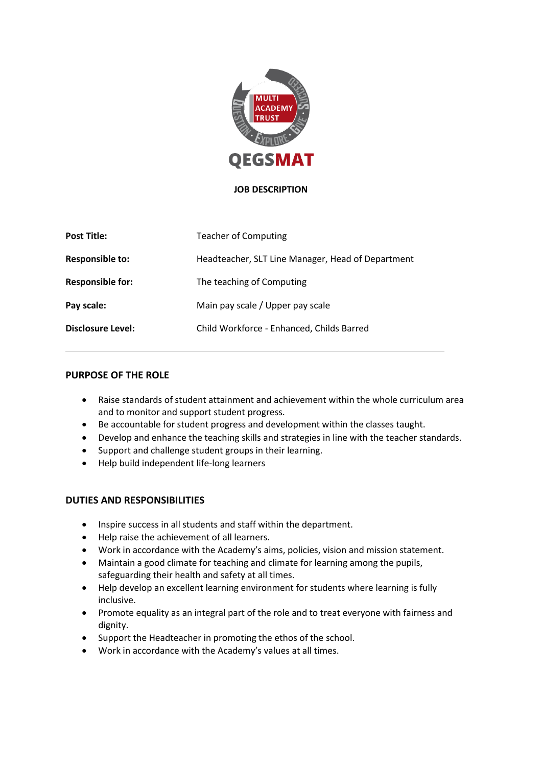

#### **JOB DESCRIPTION**

| <b>Post Title:</b>      | <b>Teacher of Computing</b>                       |
|-------------------------|---------------------------------------------------|
| <b>Responsible to:</b>  | Headteacher, SLT Line Manager, Head of Department |
| <b>Responsible for:</b> | The teaching of Computing                         |
| Pay scale:              | Main pay scale / Upper pay scale                  |
| Disclosure Level:       | Child Workforce - Enhanced, Childs Barred         |

#### **PURPOSE OF THE ROLE**

- Raise standards of student attainment and achievement within the whole curriculum area and to monitor and support student progress.
- Be accountable for student progress and development within the classes taught.
- Develop and enhance the teaching skills and strategies in line with the teacher standards.
- Support and challenge student groups in their learning.
- Help build independent life-long learners

#### **DUTIES AND RESPONSIBILITIES**

- Inspire success in all students and staff within the department.
- Help raise the achievement of all learners.
- Work in accordance with the Academy's aims, policies, vision and mission statement.
- Maintain a good climate for teaching and climate for learning among the pupils, safeguarding their health and safety at all times.
- Help develop an excellent learning environment for students where learning is fully inclusive.
- Promote equality as an integral part of the role and to treat everyone with fairness and dignity.
- Support the Headteacher in promoting the ethos of the school.
- Work in accordance with the Academy's values at all times.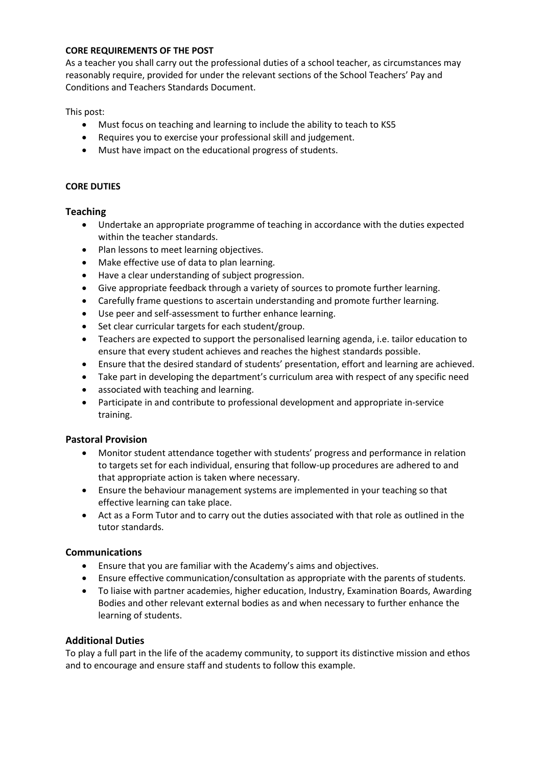#### **CORE REQUIREMENTS OF THE POST**

As a teacher you shall carry out the professional duties of a school teacher, as circumstances may reasonably require, provided for under the relevant sections of the School Teachers' Pay and Conditions and Teachers Standards Document.

This post:

- Must focus on teaching and learning to include the ability to teach to KS5
- Requires you to exercise your professional skill and judgement.
- Must have impact on the educational progress of students.

#### **CORE DUTIES**

#### **Teaching**

- Undertake an appropriate programme of teaching in accordance with the duties expected within the teacher standards.
- Plan lessons to meet learning objectives.
- Make effective use of data to plan learning.
- Have a clear understanding of subject progression.
- Give appropriate feedback through a variety of sources to promote further learning.
- Carefully frame questions to ascertain understanding and promote further learning.
- Use peer and self-assessment to further enhance learning.
- Set clear curricular targets for each student/group.
- Teachers are expected to support the personalised learning agenda, i.e. tailor education to ensure that every student achieves and reaches the highest standards possible.
- Ensure that the desired standard of students' presentation, effort and learning are achieved.
- Take part in developing the department's curriculum area with respect of any specific need
- associated with teaching and learning.
- Participate in and contribute to professional development and appropriate in-service training.

# **Pastoral Provision**

- Monitor student attendance together with students' progress and performance in relation to targets set for each individual, ensuring that follow-up procedures are adhered to and that appropriate action is taken where necessary.
- Ensure the behaviour management systems are implemented in your teaching so that effective learning can take place.
- Act as a Form Tutor and to carry out the duties associated with that role as outlined in the tutor standards.

# **Communications**

- Ensure that you are familiar with the Academy's aims and objectives.
- Ensure effective communication/consultation as appropriate with the parents of students.
- To liaise with partner academies, higher education, Industry, Examination Boards, Awarding Bodies and other relevant external bodies as and when necessary to further enhance the learning of students.

# **Additional Duties**

To play a full part in the life of the academy community, to support its distinctive mission and ethos and to encourage and ensure staff and students to follow this example.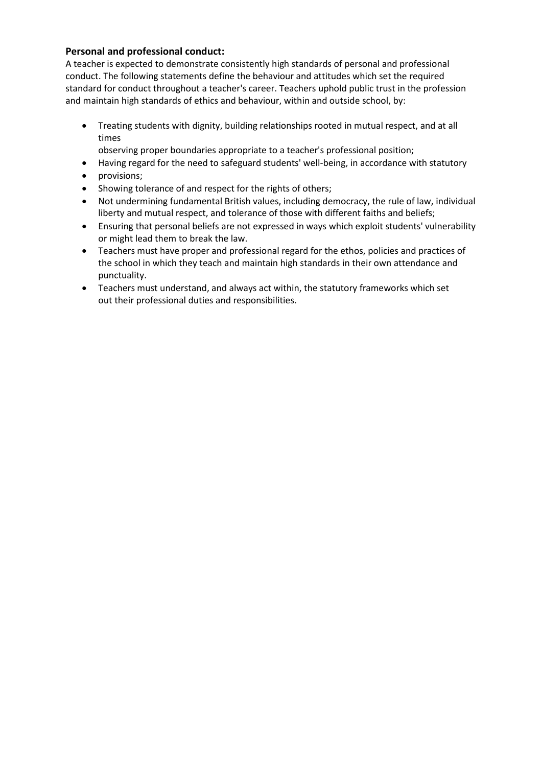# **Personal and professional conduct:**

A teacher is expected to demonstrate consistently high standards of personal and professional conduct. The following statements define the behaviour and attitudes which set the required standard for conduct throughout a teacher's career. Teachers uphold public trust in the profession and maintain high standards of ethics and behaviour, within and outside school, by:

- Treating students with dignity, building relationships rooted in mutual respect, and at all times
	- observing proper boundaries appropriate to a teacher's professional position;
- Having regard for the need to safeguard students' well-being, in accordance with statutory
- provisions;
- Showing tolerance of and respect for the rights of others;
- Not undermining fundamental British values, including democracy, the rule of law, individual liberty and mutual respect, and tolerance of those with different faiths and beliefs;
- Ensuring that personal beliefs are not expressed in ways which exploit students' vulnerability or might lead them to break the law.
- Teachers must have proper and professional regard for the ethos, policies and practices of the school in which they teach and maintain high standards in their own attendance and punctuality.
- Teachers must understand, and always act within, the statutory frameworks which set out their professional duties and responsibilities.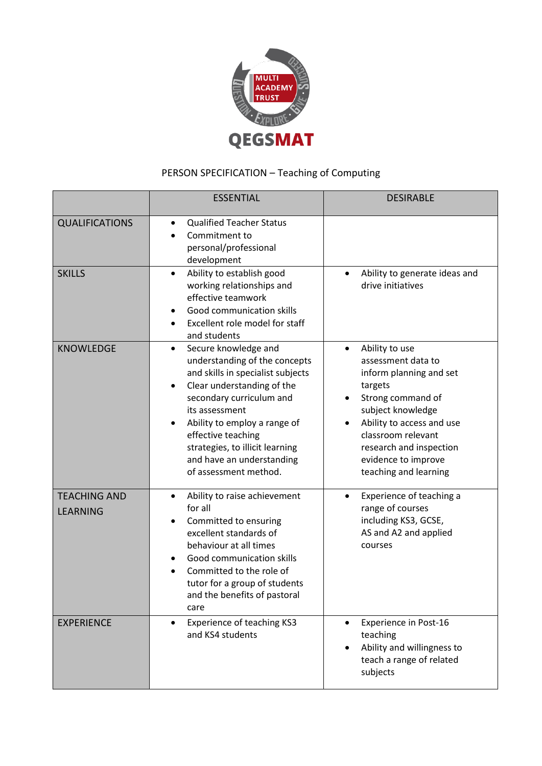

# PERSON SPECIFICATION – Teaching of Computing

|                                        | <b>ESSENTIAL</b>                                                                                                                                                                                                                                                                                                                                | <b>DESIRABLE</b>                                                                                                                                                                                                                                                             |
|----------------------------------------|-------------------------------------------------------------------------------------------------------------------------------------------------------------------------------------------------------------------------------------------------------------------------------------------------------------------------------------------------|------------------------------------------------------------------------------------------------------------------------------------------------------------------------------------------------------------------------------------------------------------------------------|
| <b>QUALIFICATIONS</b>                  | <b>Qualified Teacher Status</b><br>$\bullet$<br>Commitment to<br>personal/professional<br>development                                                                                                                                                                                                                                           |                                                                                                                                                                                                                                                                              |
| <b>SKILLS</b>                          | Ability to establish good<br>$\bullet$<br>working relationships and<br>effective teamwork<br>Good communication skills<br>Excellent role model for staff<br>and students                                                                                                                                                                        | Ability to generate ideas and<br>$\bullet$<br>drive initiatives                                                                                                                                                                                                              |
| <b>KNOWLEDGE</b>                       | Secure knowledge and<br>$\bullet$<br>understanding of the concepts<br>and skills in specialist subjects<br>Clear understanding of the<br>$\bullet$<br>secondary curriculum and<br>its assessment<br>Ability to employ a range of<br>effective teaching<br>strategies, to illicit learning<br>and have an understanding<br>of assessment method. | Ability to use<br>$\bullet$<br>assessment data to<br>inform planning and set<br>targets<br>Strong command of<br>$\bullet$<br>subject knowledge<br>Ability to access and use<br>classroom relevant<br>research and inspection<br>evidence to improve<br>teaching and learning |
| <b>TEACHING AND</b><br><b>LEARNING</b> | Ability to raise achievement<br>$\bullet$<br>for all<br>Committed to ensuring<br>excellent standards of<br>behaviour at all times<br>Good communication skills<br>Committed to the role of<br>tutor for a group of students<br>and the benefits of pastoral<br>care                                                                             | Experience of teaching a<br>$\bullet$<br>range of courses<br>including KS3, GCSE,<br>AS and A2 and applied<br>courses                                                                                                                                                        |
| <b>EXPERIENCE</b>                      | Experience of teaching KS3<br>$\bullet$<br>and KS4 students                                                                                                                                                                                                                                                                                     | <b>Experience in Post-16</b><br>$\bullet$<br>teaching<br>Ability and willingness to<br>teach a range of related<br>subjects                                                                                                                                                  |